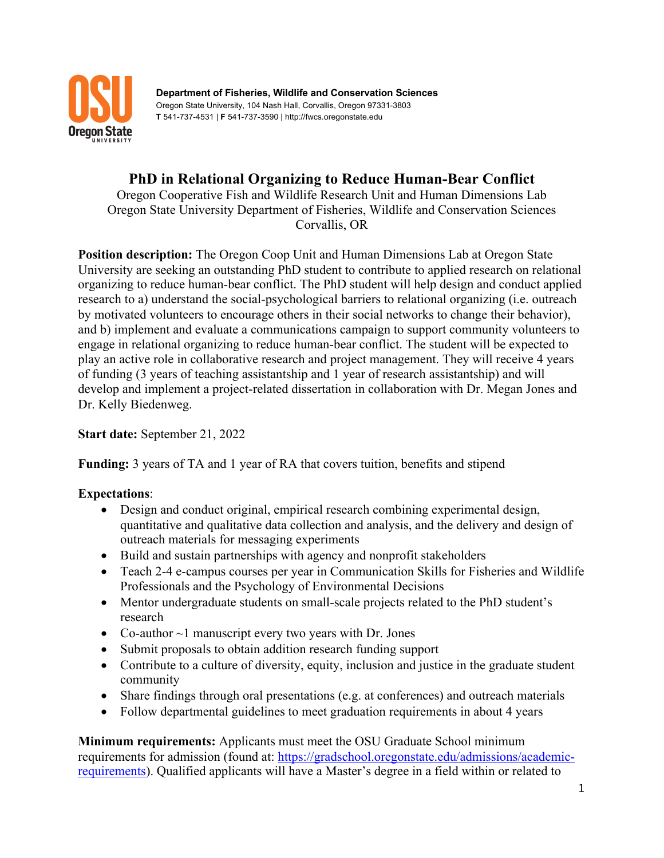

**Department of Fisheries, Wildlife and Conservation Sciences** Oregon State University, 104 Nash Hall, Corvallis, Oregon 97331-3803 **T** 541-737-4531 | **F** 541-737-3590 | http://fwcs.oregonstate.edu

## **PhD in Relational Organizing to Reduce Human-Bear Conflict**

Oregon Cooperative Fish and Wildlife Research Unit and Human Dimensions Lab Oregon State University Department of Fisheries, Wildlife and Conservation Sciences Corvallis, OR

**Position description:** The Oregon Coop Unit and Human Dimensions Lab at Oregon State University are seeking an outstanding PhD student to contribute to applied research on relational organizing to reduce human-bear conflict. The PhD student will help design and conduct applied research to a) understand the social-psychological barriers to relational organizing (i.e. outreach by motivated volunteers to encourage others in their social networks to change their behavior), and b) implement and evaluate a communications campaign to support community volunteers to engage in relational organizing to reduce human-bear conflict. The student will be expected to play an active role in collaborative research and project management. They will receive 4 years of funding (3 years of teaching assistantship and 1 year of research assistantship) and will develop and implement a project-related dissertation in collaboration with Dr. Megan Jones and Dr. Kelly Biedenweg.

**Start date:** September 21, 2022

**Funding:** 3 years of TA and 1 year of RA that covers tuition, benefits and stipend

## **Expectations**:

- Design and conduct original, empirical research combining experimental design, quantitative and qualitative data collection and analysis, and the delivery and design of outreach materials for messaging experiments
- Build and sustain partnerships with agency and nonprofit stakeholders
- Teach 2-4 e-campus courses per year in Communication Skills for Fisheries and Wildlife Professionals and the Psychology of Environmental Decisions
- Mentor undergraduate students on small-scale projects related to the PhD student's research
- Co-author  $\sim$ 1 manuscript every two years with Dr. Jones
- Submit proposals to obtain addition research funding support
- Contribute to a culture of diversity, equity, inclusion and justice in the graduate student community
- Share findings through oral presentations (e.g. at conferences) and outreach materials
- Follow departmental guidelines to meet graduation requirements in about 4 years

**Minimum requirements:** Applicants must meet the OSU Graduate School minimum requirements for admission (found at: https://gradschool.oregonstate.edu/admissions/academicrequirements). Qualified applicants will have a Master's degree in a field within or related to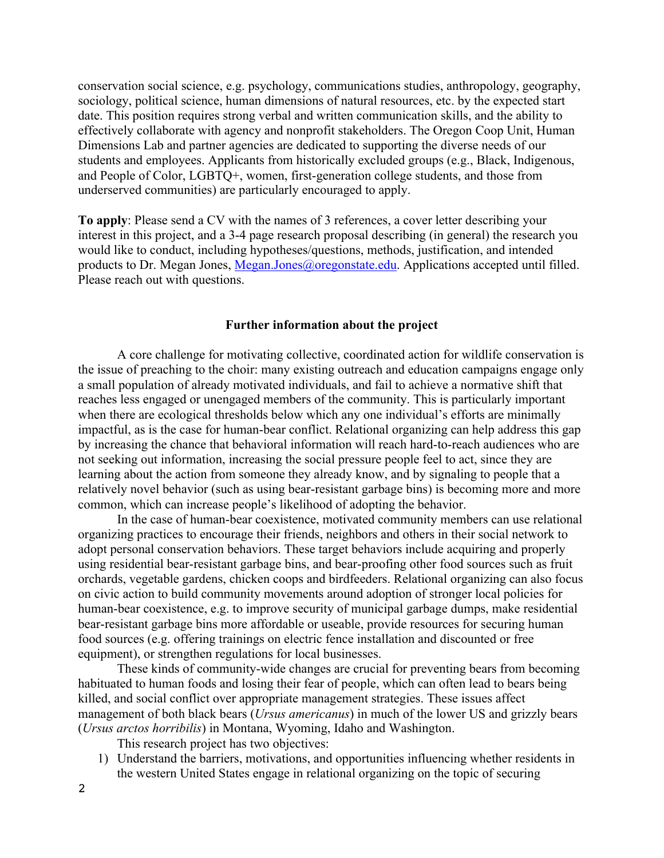conservation social science, e.g. psychology, communications studies, anthropology, geography, sociology, political science, human dimensions of natural resources, etc. by the expected start date. This position requires strong verbal and written communication skills, and the ability to effectively collaborate with agency and nonprofit stakeholders. The Oregon Coop Unit, Human Dimensions Lab and partner agencies are dedicated to supporting the diverse needs of our students and employees. Applicants from historically excluded groups (e.g., Black, Indigenous, and People of Color, LGBTQ+, women, first-generation college students, and those from underserved communities) are particularly encouraged to apply.

**To apply**: Please send a CV with the names of 3 references, a cover letter describing your interest in this project, and a 3-4 page research proposal describing (in general) the research you would like to conduct, including hypotheses/questions, methods, justification, and intended products to Dr. Megan Jones, Megan.Jones@oregonstate.edu. Applications accepted until filled. Please reach out with questions.

## **Further information about the project**

A core challenge for motivating collective, coordinated action for wildlife conservation is the issue of preaching to the choir: many existing outreach and education campaigns engage only a small population of already motivated individuals, and fail to achieve a normative shift that reaches less engaged or unengaged members of the community. This is particularly important when there are ecological thresholds below which any one individual's efforts are minimally impactful, as is the case for human-bear conflict. Relational organizing can help address this gap by increasing the chance that behavioral information will reach hard-to-reach audiences who are not seeking out information, increasing the social pressure people feel to act, since they are learning about the action from someone they already know, and by signaling to people that a relatively novel behavior (such as using bear-resistant garbage bins) is becoming more and more common, which can increase people's likelihood of adopting the behavior.

In the case of human-bear coexistence, motivated community members can use relational organizing practices to encourage their friends, neighbors and others in their social network to adopt personal conservation behaviors. These target behaviors include acquiring and properly using residential bear-resistant garbage bins, and bear-proofing other food sources such as fruit orchards, vegetable gardens, chicken coops and birdfeeders. Relational organizing can also focus on civic action to build community movements around adoption of stronger local policies for human-bear coexistence, e.g. to improve security of municipal garbage dumps, make residential bear-resistant garbage bins more affordable or useable, provide resources for securing human food sources (e.g. offering trainings on electric fence installation and discounted or free equipment), or strengthen regulations for local businesses.

These kinds of community-wide changes are crucial for preventing bears from becoming habituated to human foods and losing their fear of people, which can often lead to bears being killed, and social conflict over appropriate management strategies. These issues affect management of both black bears (*Ursus americanus*) in much of the lower US and grizzly bears (*Ursus arctos horribilis*) in Montana, Wyoming, Idaho and Washington.

This research project has two objectives:

1) Understand the barriers, motivations, and opportunities influencing whether residents in the western United States engage in relational organizing on the topic of securing